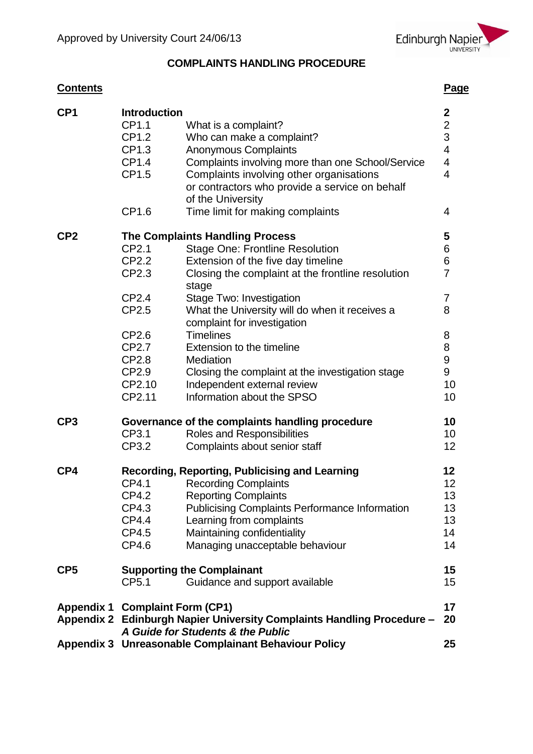

# **COMPLAINTS HANDLING PROCEDURE**

# **Contents Page**

| CP <sub>1</sub> | <b>Introduction</b>                    |                                                                                                             |                         |  |  |  |  |
|-----------------|----------------------------------------|-------------------------------------------------------------------------------------------------------------|-------------------------|--|--|--|--|
|                 | CP1.1                                  | What is a complaint?                                                                                        | $\frac{2}{2}$           |  |  |  |  |
|                 | CP1.2                                  | Who can make a complaint?                                                                                   |                         |  |  |  |  |
|                 | CP1.3                                  | <b>Anonymous Complaints</b>                                                                                 | $\overline{\mathbf{4}}$ |  |  |  |  |
|                 | CP1.4                                  | Complaints involving more than one School/Service                                                           | 4                       |  |  |  |  |
|                 | CP1.5                                  | Complaints involving other organisations                                                                    | $\overline{4}$          |  |  |  |  |
|                 |                                        | or contractors who provide a service on behalf                                                              |                         |  |  |  |  |
|                 |                                        | of the University                                                                                           |                         |  |  |  |  |
|                 |                                        |                                                                                                             | $\overline{4}$          |  |  |  |  |
|                 | CP1.6                                  | Time limit for making complaints                                                                            |                         |  |  |  |  |
| CP <sub>2</sub> | <b>The Complaints Handling Process</b> |                                                                                                             |                         |  |  |  |  |
|                 | CP2.1                                  | <b>Stage One: Frontline Resolution</b>                                                                      | 6                       |  |  |  |  |
|                 | CP2.2                                  | Extension of the five day timeline                                                                          | 6                       |  |  |  |  |
|                 | CP2.3                                  | Closing the complaint at the frontline resolution<br>stage                                                  | $\overline{7}$          |  |  |  |  |
|                 | CP2.4                                  | Stage Two: Investigation                                                                                    | 7                       |  |  |  |  |
|                 | CP2.5                                  | What the University will do when it receives a                                                              | 8                       |  |  |  |  |
|                 |                                        | complaint for investigation                                                                                 |                         |  |  |  |  |
|                 | CP2.6                                  | <b>Timelines</b>                                                                                            | 8                       |  |  |  |  |
|                 | CP2.7                                  | Extension to the timeline                                                                                   | 8                       |  |  |  |  |
|                 | CP2.8                                  | Mediation                                                                                                   | 9                       |  |  |  |  |
|                 | CP2.9                                  | Closing the complaint at the investigation stage                                                            | 9                       |  |  |  |  |
|                 | CP2.10                                 | Independent external review                                                                                 | 10                      |  |  |  |  |
|                 | CP2.11                                 | Information about the SPSO                                                                                  | 10 <sup>1</sup>         |  |  |  |  |
|                 |                                        |                                                                                                             |                         |  |  |  |  |
| CP3             |                                        | Governance of the complaints handling procedure                                                             | 10                      |  |  |  |  |
|                 | CP3.1                                  | Roles and Responsibilities                                                                                  | 10 <sup>1</sup>         |  |  |  |  |
|                 | CP3.2                                  | Complaints about senior staff                                                                               | 12 <sub>2</sub>         |  |  |  |  |
| CP4             |                                        | Recording, Reporting, Publicising and Learning                                                              | 12 <sub>2</sub>         |  |  |  |  |
|                 | CP4.1                                  | <b>Recording Complaints</b>                                                                                 | 12 <sub>2</sub>         |  |  |  |  |
|                 | CP4.2                                  | <b>Reporting Complaints</b>                                                                                 | 13                      |  |  |  |  |
|                 | CP4.3                                  | <b>Publicising Complaints Performance Information</b>                                                       | 13                      |  |  |  |  |
|                 | CP4.4                                  | Learning from complaints                                                                                    | 13                      |  |  |  |  |
|                 | CP4.5                                  | Maintaining confidentiality                                                                                 | 14                      |  |  |  |  |
|                 | CP4.6                                  | Managing unacceptable behaviour                                                                             | 14                      |  |  |  |  |
| CP5             |                                        | <b>Supporting the Complainant</b>                                                                           | 15                      |  |  |  |  |
|                 | CP <sub>5.1</sub>                      | Guidance and support available                                                                              | 15 <sub>1</sub>         |  |  |  |  |
|                 | <b>Appendix 1 Complaint Form (CP1)</b> |                                                                                                             | 17                      |  |  |  |  |
|                 |                                        | Appendix 2 Edinburgh Napier University Complaints Handling Procedure -<br>A Guide for Students & the Public | 20                      |  |  |  |  |
|                 |                                        | Appendix 3 Unreasonable Complainant Behaviour Policy                                                        | 25                      |  |  |  |  |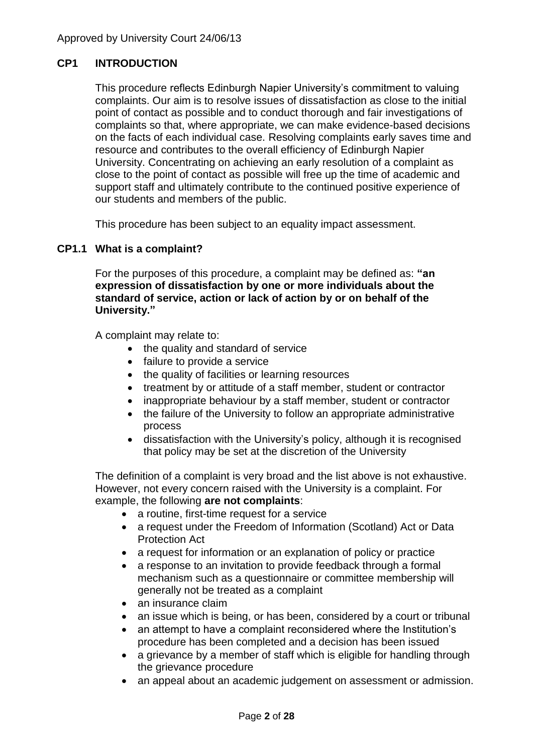### **CP1 INTRODUCTION**

This procedure reflects Edinburgh Napier University's commitment to valuing complaints. Our aim is to resolve issues of dissatisfaction as close to the initial point of contact as possible and to conduct thorough and fair investigations of complaints so that, where appropriate, we can make evidence-based decisions on the facts of each individual case. Resolving complaints early saves time and resource and contributes to the overall efficiency of Edinburgh Napier University. Concentrating on achieving an early resolution of a complaint as close to the point of contact as possible will free up the time of academic and support staff and ultimately contribute to the continued positive experience of our students and members of the public.

This procedure has been subject to an equality impact assessment.

### **CP1.1 What is a complaint?**

For the purposes of this procedure, a complaint may be defined as: **"an expression of dissatisfaction by one or more individuals about the standard of service, action or lack of action by or on behalf of the University."**

A complaint may relate to:

- the quality and standard of service
- failure to provide a service
- the quality of facilities or learning resources
- treatment by or attitude of a staff member, student or contractor
- inappropriate behaviour by a staff member, student or contractor
- the failure of the University to follow an appropriate administrative process
- dissatisfaction with the University's policy, although it is recognised that policy may be set at the discretion of the University

The definition of a complaint is very broad and the list above is not exhaustive. However, not every concern raised with the University is a complaint. For example, the following **are not complaints**:

- a routine, first-time request for a service
- a request under the Freedom of Information (Scotland) Act or Data Protection Act
- a request for information or an explanation of policy or practice
- a response to an invitation to provide feedback through a formal mechanism such as a questionnaire or committee membership will generally not be treated as a complaint
- an insurance claim
- an issue which is being, or has been, considered by a court or tribunal
- an attempt to have a complaint reconsidered where the Institution's procedure has been completed and a decision has been issued
- a grievance by a member of staff which is eligible for handling through the grievance procedure
- an appeal about an academic judgement on assessment or admission.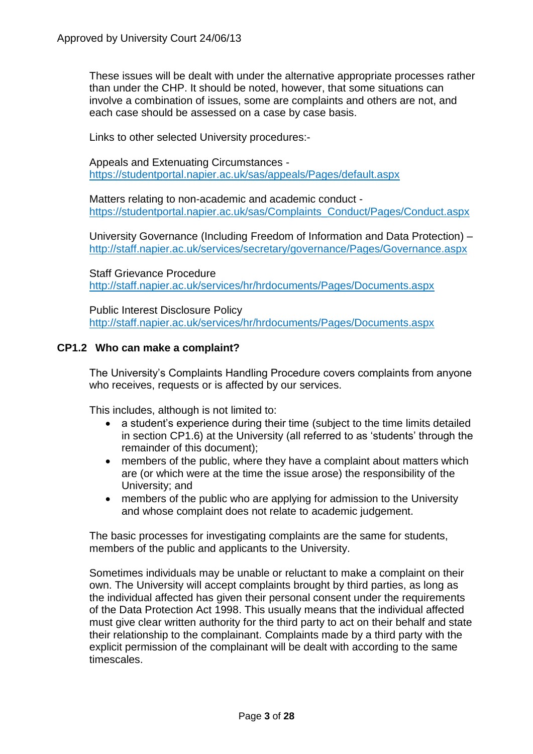These issues will be dealt with under the alternative appropriate processes rather than under the CHP. It should be noted, however, that some situations can involve a combination of issues, some are complaints and others are not, and each case should be assessed on a case by case basis.

Links to other selected University procedures:-

Appeals and Extenuating Circumstances <https://studentportal.napier.ac.uk/sas/appeals/Pages/default.aspx>

Matters relating to non-academic and academic conduct [https://studentportal.napier.ac.uk/sas/Complaints\\_Conduct/Pages/Conduct.aspx](https://studentportal.napier.ac.uk/sas/Complaints_Conduct/Pages/Conduct.aspx)

University Governance (Including Freedom of Information and Data Protection) – <http://staff.napier.ac.uk/services/secretary/governance/Pages/Governance.aspx>

Staff Grievance Procedure <http://staff.napier.ac.uk/services/hr/hrdocuments/Pages/Documents.aspx>

Public Interest Disclosure Policy <http://staff.napier.ac.uk/services/hr/hrdocuments/Pages/Documents.aspx>

### **CP1.2 Who can make a complaint?**

The University's Complaints Handling Procedure covers complaints from anyone who receives, requests or is affected by our services.

This includes, although is not limited to:

- a student's experience during their time (subject to the time limits detailed in section CP1.6) at the University (all referred to as 'students' through the remainder of this document);
- members of the public, where they have a complaint about matters which are (or which were at the time the issue arose) the responsibility of the University; and
- members of the public who are applying for admission to the University and whose complaint does not relate to academic judgement.

The basic processes for investigating complaints are the same for students, members of the public and applicants to the University.

Sometimes individuals may be unable or reluctant to make a complaint on their own. The University will accept complaints brought by third parties, as long as the individual affected has given their personal consent under the requirements of the Data Protection Act 1998. This usually means that the individual affected must give clear written authority for the third party to act on their behalf and state their relationship to the complainant. Complaints made by a third party with the explicit permission of the complainant will be dealt with according to the same timescales.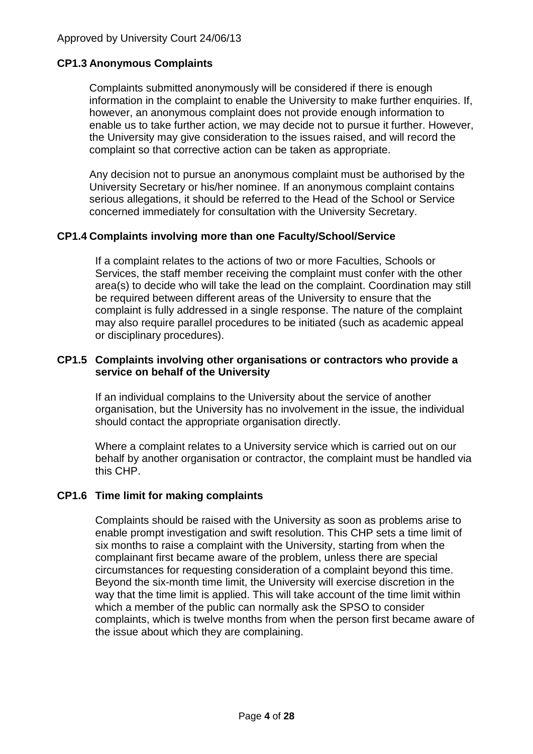### **CP1.3 Anonymous Complaints**

Complaints submitted anonymously will be considered if there is enough information in the complaint to enable the University to make further enquiries. If, however, an anonymous complaint does not provide enough information to enable us to take further action, we may decide not to pursue it further. However, the University may give consideration to the issues raised, and will record the complaint so that corrective action can be taken as appropriate.

Any decision not to pursue an anonymous complaint must be authorised by the University Secretary or his/her nominee. If an anonymous complaint contains serious allegations, it should be referred to the Head of the School or Service concerned immediately for consultation with the University Secretary.

### **CP1.4 Complaints involving more than one Faculty/School/Service**

If a complaint relates to the actions of two or more Faculties, Schools or Services, the staff member receiving the complaint must confer with the other area(s) to decide who will take the lead on the complaint. Coordination may still be required between different areas of the University to ensure that the complaint is fully addressed in a single response. The nature of the complaint may also require parallel procedures to be initiated (such as academic appeal or disciplinary procedures).

### **CP1.5 Complaints involving other organisations or contractors who provide a service on behalf of the University**

If an individual complains to the University about the service of another organisation, but the University has no involvement in the issue, the individual should contact the appropriate organisation directly.

Where a complaint relates to a University service which is carried out on our behalf by another organisation or contractor, the complaint must be handled via this CHP.

### **CP1.6 Time limit for making complaints**

Complaints should be raised with the University as soon as problems arise to enable prompt investigation and swift resolution. This CHP sets a time limit of six months to raise a complaint with the University, starting from when the complainant first became aware of the problem, unless there are special circumstances for requesting consideration of a complaint beyond this time. Beyond the six-month time limit, the University will exercise discretion in the way that the time limit is applied. This will take account of the time limit within which a member of the public can normally ask the SPSO to consider complaints, which is twelve months from when the person first became aware of the issue about which they are complaining.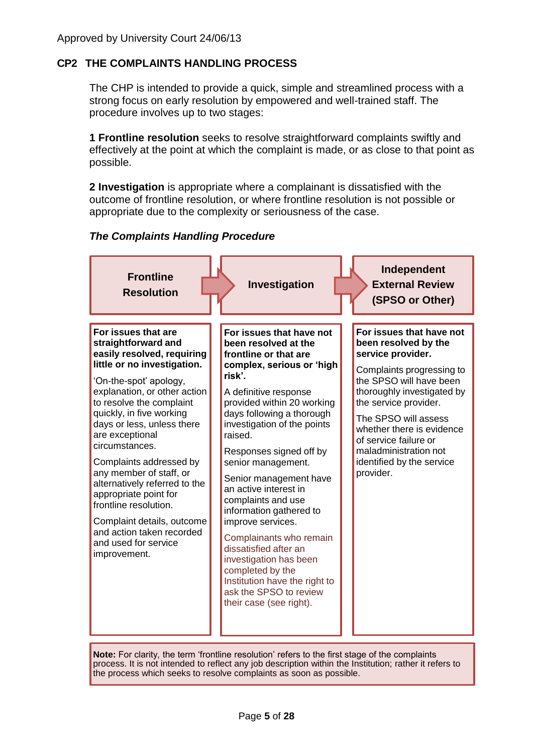## **CP2 THE COMPLAINTS HANDLING PROCESS**

The CHP is intended to provide a quick, simple and streamlined process with a strong focus on early resolution by empowered and well-trained staff. The procedure involves up to two stages:

**1 Frontline resolution** seeks to resolve straightforward complaints swiftly and effectively at the point at which the complaint is made, or as close to that point as possible.

**2 Investigation** is appropriate where a complainant is dissatisfied with the outcome of frontline resolution, or where frontline resolution is not possible or appropriate due to the complexity or seriousness of the case.

### *The Complaints Handling Procedure*



**Note:** For clarity, the term 'frontline resolution' refers to the first stage of the complaints process. It is not intended to reflect any job description within the Institution; rather it refers to the process which seeks to resolve complaints as soon as possible.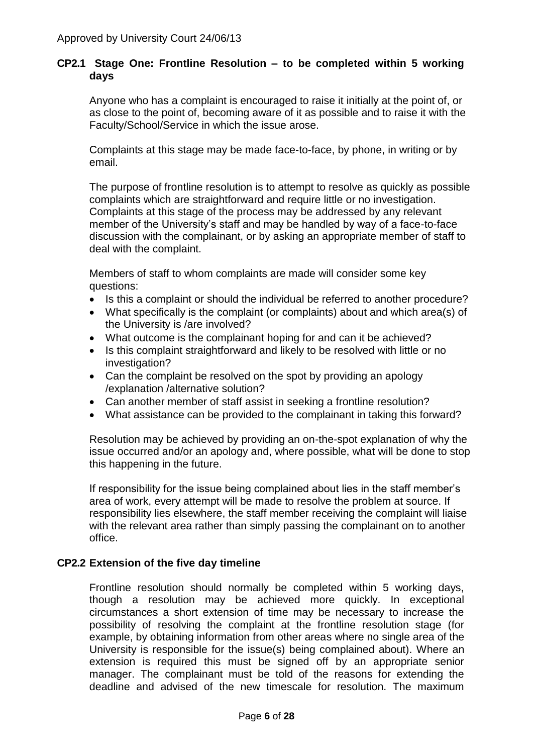### **CP2.1 Stage One: Frontline Resolution – to be completed within 5 working days**

Anyone who has a complaint is encouraged to raise it initially at the point of, or as close to the point of, becoming aware of it as possible and to raise it with the Faculty/School/Service in which the issue arose.

Complaints at this stage may be made face-to-face, by phone, in writing or by email.

The purpose of frontline resolution is to attempt to resolve as quickly as possible complaints which are straightforward and require little or no investigation. Complaints at this stage of the process may be addressed by any relevant member of the University's staff and may be handled by way of a face-to-face discussion with the complainant, or by asking an appropriate member of staff to deal with the complaint.

Members of staff to whom complaints are made will consider some key questions:

- Is this a complaint or should the individual be referred to another procedure?
- What specifically is the complaint (or complaints) about and which area(s) of the University is /are involved?
- What outcome is the complainant hoping for and can it be achieved?
- Is this complaint straightforward and likely to be resolved with little or no investigation?
- Can the complaint be resolved on the spot by providing an apology /explanation /alternative solution?
- Can another member of staff assist in seeking a frontline resolution?
- What assistance can be provided to the complainant in taking this forward?

Resolution may be achieved by providing an on-the-spot explanation of why the issue occurred and/or an apology and, where possible, what will be done to stop this happening in the future.

If responsibility for the issue being complained about lies in the staff member's area of work, every attempt will be made to resolve the problem at source. If responsibility lies elsewhere, the staff member receiving the complaint will liaise with the relevant area rather than simply passing the complainant on to another office.

### **CP2.2 Extension of the five day timeline**

Frontline resolution should normally be completed within 5 working days, though a resolution may be achieved more quickly. In exceptional circumstances a short extension of time may be necessary to increase the possibility of resolving the complaint at the frontline resolution stage (for example, by obtaining information from other areas where no single area of the University is responsible for the issue(s) being complained about). Where an extension is required this must be signed off by an appropriate senior manager. The complainant must be told of the reasons for extending the deadline and advised of the new timescale for resolution. The maximum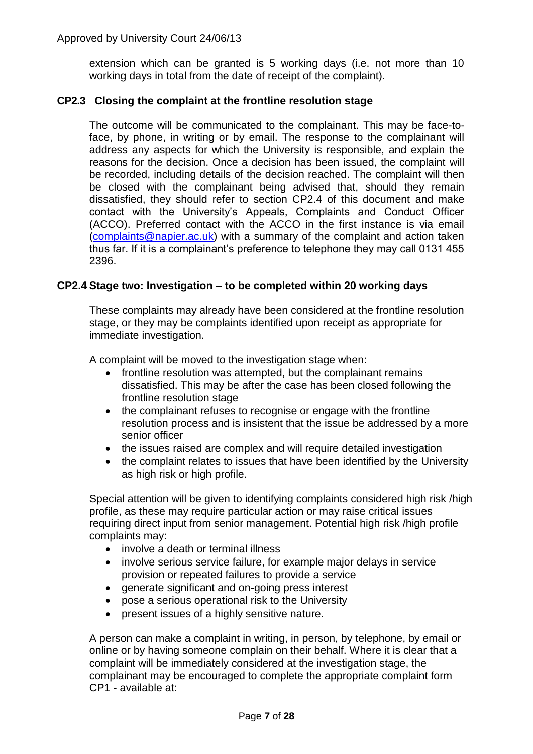extension which can be granted is 5 working days (i.e. not more than 10 working days in total from the date of receipt of the complaint).

### **CP2.3 Closing the complaint at the frontline resolution stage**

The outcome will be communicated to the complainant. This may be face-toface, by phone, in writing or by email. The response to the complainant will address any aspects for which the University is responsible, and explain the reasons for the decision. Once a decision has been issued, the complaint will be recorded, including details of the decision reached. The complaint will then be closed with the complainant being advised that, should they remain dissatisfied, they should refer to section CP2.4 of this document and make contact with the University's Appeals, Complaints and Conduct Officer (ACCO). Preferred contact with the ACCO in the first instance is via email [\(complaints@napier.ac.uk\)](mailto:complaints@napier.ac.uk) with a summary of the complaint and action taken thus far. If it is a complainant's preference to telephone they may call 0131 455 2396.

### **CP2.4 Stage two: Investigation – to be completed within 20 working days**

These complaints may already have been considered at the frontline resolution stage, or they may be complaints identified upon receipt as appropriate for immediate investigation.

A complaint will be moved to the investigation stage when:

- frontline resolution was attempted, but the complainant remains dissatisfied. This may be after the case has been closed following the frontline resolution stage
- the complainant refuses to recognise or engage with the frontline resolution process and is insistent that the issue be addressed by a more senior officer
- the issues raised are complex and will require detailed investigation
- the complaint relates to issues that have been identified by the University as high risk or high profile.

Special attention will be given to identifying complaints considered high risk /high profile, as these may require particular action or may raise critical issues requiring direct input from senior management. Potential high risk /high profile complaints may:

- involve a death or terminal illness
- involve serious service failure, for example major delays in service provision or repeated failures to provide a service
- generate significant and on-going press interest
- pose a serious operational risk to the University
- present issues of a highly sensitive nature.

A person can make a complaint in writing, in person, by telephone, by email or online or by having someone complain on their behalf. Where it is clear that a complaint will be immediately considered at the investigation stage, the complainant may be encouraged to complete the appropriate complaint form CP1 - available at: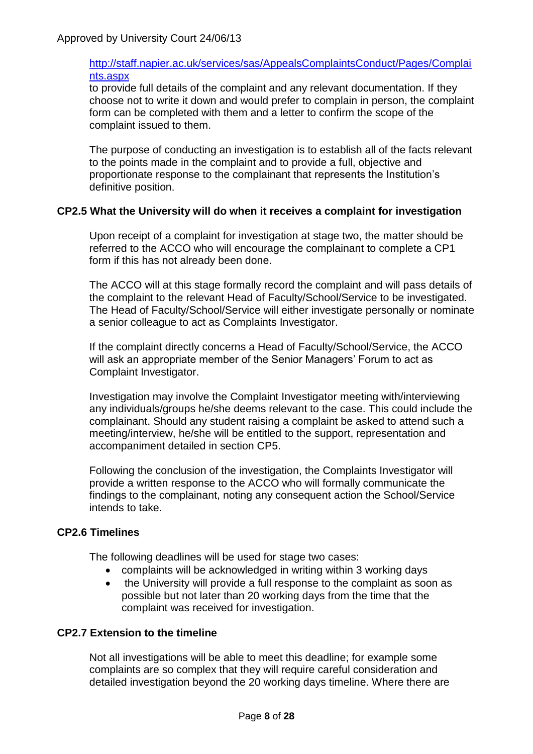### [http://staff.napier.ac.uk/services/sas/AppealsComplaintsConduct/Pages/Complai](http://staff.napier.ac.uk/services/sas/AppealsComplaintsConduct/Pages/Complaints.aspx) [nts.aspx](http://staff.napier.ac.uk/services/sas/AppealsComplaintsConduct/Pages/Complaints.aspx)

to provide full details of the complaint and any relevant documentation. If they choose not to write it down and would prefer to complain in person, the complaint form can be completed with them and a letter to confirm the scope of the complaint issued to them.

The purpose of conducting an investigation is to establish all of the facts relevant to the points made in the complaint and to provide a full, objective and proportionate response to the complainant that represents the Institution's definitive position.

### **CP2.5 What the University will do when it receives a complaint for investigation**

Upon receipt of a complaint for investigation at stage two, the matter should be referred to the ACCO who will encourage the complainant to complete a CP1 form if this has not already been done.

The ACCO will at this stage formally record the complaint and will pass details of the complaint to the relevant Head of Faculty/School/Service to be investigated. The Head of Faculty/School/Service will either investigate personally or nominate a senior colleague to act as Complaints Investigator.

If the complaint directly concerns a Head of Faculty/School/Service, the ACCO will ask an appropriate member of the Senior Managers' Forum to act as Complaint Investigator.

Investigation may involve the Complaint Investigator meeting with/interviewing any individuals/groups he/she deems relevant to the case. This could include the complainant. Should any student raising a complaint be asked to attend such a meeting/interview, he/she will be entitled to the support, representation and accompaniment detailed in section CP5.

Following the conclusion of the investigation, the Complaints Investigator will provide a written response to the ACCO who will formally communicate the findings to the complainant, noting any consequent action the School/Service intends to take.

## **CP2.6 Timelines**

The following deadlines will be used for stage two cases:

- complaints will be acknowledged in writing within 3 working days
- the University will provide a full response to the complaint as soon as possible but not later than 20 working days from the time that the complaint was received for investigation.

### **CP2.7 Extension to the timeline**

Not all investigations will be able to meet this deadline; for example some complaints are so complex that they will require careful consideration and detailed investigation beyond the 20 working days timeline. Where there are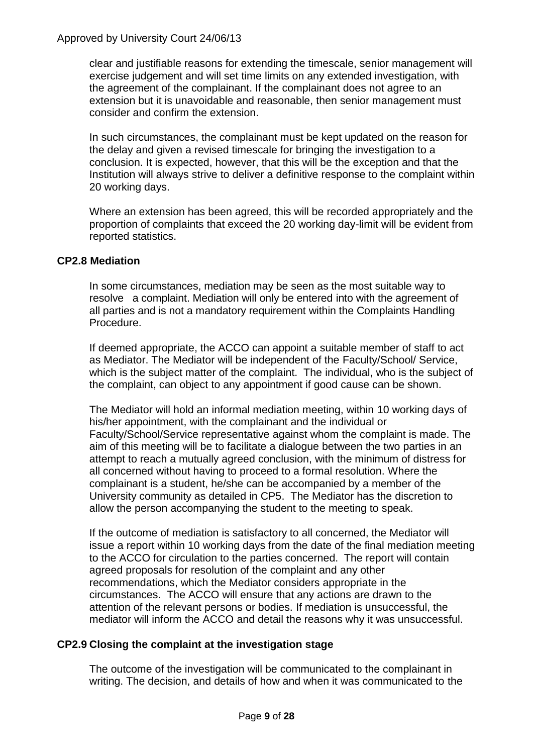clear and justifiable reasons for extending the timescale, senior management will exercise judgement and will set time limits on any extended investigation, with the agreement of the complainant. If the complainant does not agree to an extension but it is unavoidable and reasonable, then senior management must consider and confirm the extension.

In such circumstances, the complainant must be kept updated on the reason for the delay and given a revised timescale for bringing the investigation to a conclusion. It is expected, however, that this will be the exception and that the Institution will always strive to deliver a definitive response to the complaint within 20 working days.

Where an extension has been agreed, this will be recorded appropriately and the proportion of complaints that exceed the 20 working day-limit will be evident from reported statistics.

### **CP2.8 Mediation**

In some circumstances, mediation may be seen as the most suitable way to resolve a complaint. Mediation will only be entered into with the agreement of all parties and is not a mandatory requirement within the Complaints Handling Procedure.

If deemed appropriate, the ACCO can appoint a suitable member of staff to act as Mediator. The Mediator will be independent of the Faculty/School/ Service, which is the subject matter of the complaint. The individual, who is the subject of the complaint, can object to any appointment if good cause can be shown.

The Mediator will hold an informal mediation meeting, within 10 working days of his/her appointment, with the complainant and the individual or Faculty/School/Service representative against whom the complaint is made. The aim of this meeting will be to facilitate a dialogue between the two parties in an attempt to reach a mutually agreed conclusion, with the minimum of distress for all concerned without having to proceed to a formal resolution. Where the complainant is a student, he/she can be accompanied by a member of the University community as detailed in CP5. The Mediator has the discretion to allow the person accompanying the student to the meeting to speak.

If the outcome of mediation is satisfactory to all concerned, the Mediator will issue a report within 10 working days from the date of the final mediation meeting to the ACCO for circulation to the parties concerned. The report will contain agreed proposals for resolution of the complaint and any other recommendations, which the Mediator considers appropriate in the circumstances. The ACCO will ensure that any actions are drawn to the attention of the relevant persons or bodies. If mediation is unsuccessful, the mediator will inform the ACCO and detail the reasons why it was unsuccessful.

### **CP2.9 Closing the complaint at the investigation stage**

The outcome of the investigation will be communicated to the complainant in writing. The decision, and details of how and when it was communicated to the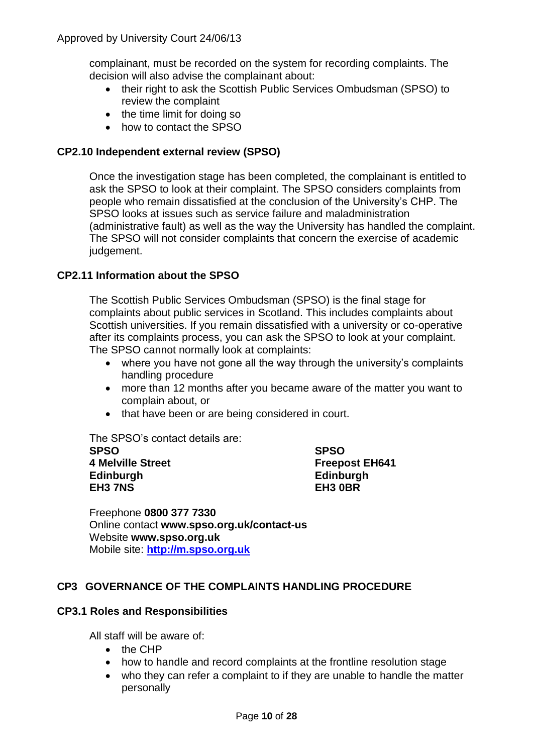complainant, must be recorded on the system for recording complaints. The decision will also advise the complainant about:

- their right to ask the Scottish Public Services Ombudsman (SPSO) to review the complaint
- the time limit for doing so
- how to contact the SPSO

### **CP2.10 Independent external review (SPSO)**

Once the investigation stage has been completed, the complainant is entitled to ask the SPSO to look at their complaint. The SPSO considers complaints from people who remain dissatisfied at the conclusion of the University's CHP. The SPSO looks at issues such as service failure and maladministration (administrative fault) as well as the way the University has handled the complaint. The SPSO will not consider complaints that concern the exercise of academic judgement.

### **CP2.11 Information about the SPSO**

The Scottish Public Services Ombudsman (SPSO) is the final stage for complaints about public services in Scotland. This includes complaints about Scottish universities. If you remain dissatisfied with a university or co-operative after its complaints process, you can ask the SPSO to look at your complaint. The SPSO cannot normally look at complaints:

- where you have not gone all the way through the university's complaints handling procedure
- more than 12 months after you became aware of the matter you want to complain about, or
- that have been or are being considered in court.

The SPSO's contact details are:

**SPSO SPSO 4 Melville Street Freepost EH641 Edinburgh Edinburgh EH3 7NS** 

Freephone **0800 377 7330** Online contact **www.spso.org.uk/contact-us** Website **www.spso.org.uk** Mobile site: **[http://m.spso.org.uk](http://m.spso.org.uk/)**

### **CP3 GOVERNANCE OF THE COMPLAINTS HANDLING PROCEDURE**

### **CP3.1 Roles and Responsibilities**

All staff will be aware of:

- $\bullet$  the CHP
- how to handle and record complaints at the frontline resolution stage
- who they can refer a complaint to if they are unable to handle the matter personally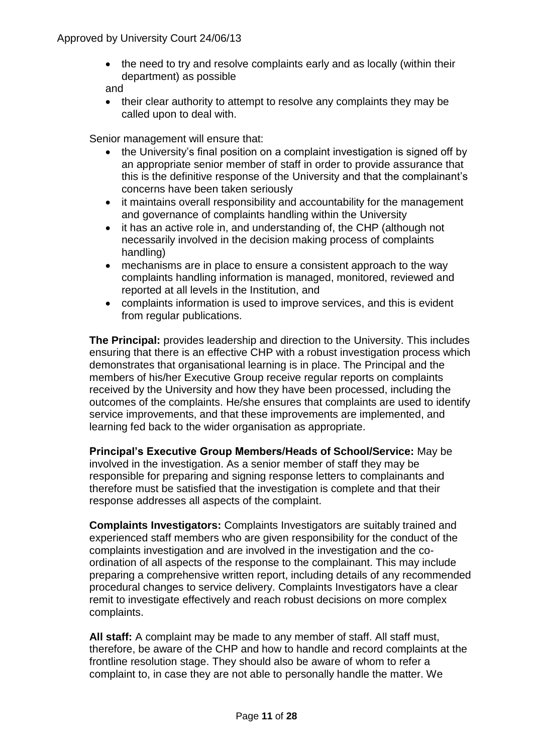• the need to try and resolve complaints early and as locally (within their department) as possible

and

• their clear authority to attempt to resolve any complaints they may be called upon to deal with.

Senior management will ensure that:

- the University's final position on a complaint investigation is signed off by an appropriate senior member of staff in order to provide assurance that this is the definitive response of the University and that the complainant's concerns have been taken seriously
- it maintains overall responsibility and accountability for the management and governance of complaints handling within the University
- it has an active role in, and understanding of, the CHP (although not necessarily involved in the decision making process of complaints handling)
- mechanisms are in place to ensure a consistent approach to the way complaints handling information is managed, monitored, reviewed and reported at all levels in the Institution, and
- complaints information is used to improve services, and this is evident from regular publications.

**The Principal:** provides leadership and direction to the University. This includes ensuring that there is an effective CHP with a robust investigation process which demonstrates that organisational learning is in place. The Principal and the members of his/her Executive Group receive regular reports on complaints received by the University and how they have been processed, including the outcomes of the complaints. He/she ensures that complaints are used to identify service improvements, and that these improvements are implemented, and learning fed back to the wider organisation as appropriate.

**Principal's Executive Group Members/Heads of School/Service:** May be involved in the investigation. As a senior member of staff they may be responsible for preparing and signing response letters to complainants and therefore must be satisfied that the investigation is complete and that their response addresses all aspects of the complaint.

**Complaints Investigators:** Complaints Investigators are suitably trained and experienced staff members who are given responsibility for the conduct of the complaints investigation and are involved in the investigation and the coordination of all aspects of the response to the complainant. This may include preparing a comprehensive written report, including details of any recommended procedural changes to service delivery. Complaints Investigators have a clear remit to investigate effectively and reach robust decisions on more complex complaints.

**All staff:** A complaint may be made to any member of staff. All staff must, therefore, be aware of the CHP and how to handle and record complaints at the frontline resolution stage. They should also be aware of whom to refer a complaint to, in case they are not able to personally handle the matter. We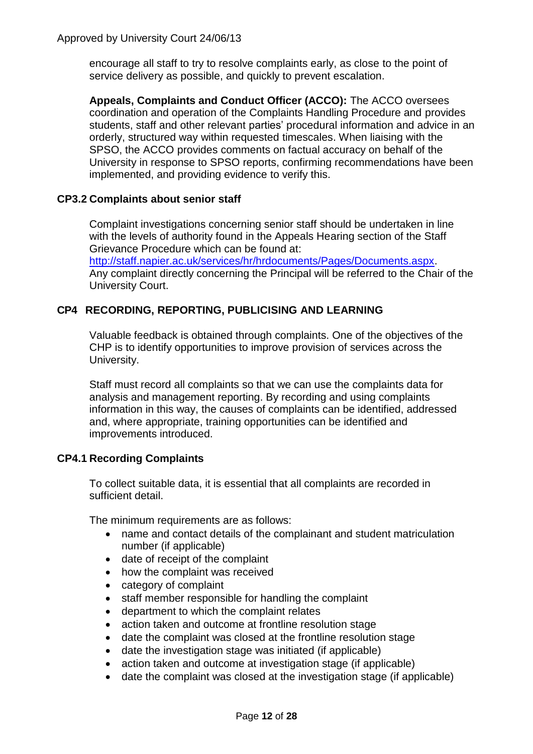encourage all staff to try to resolve complaints early, as close to the point of service delivery as possible, and quickly to prevent escalation.

**Appeals, Complaints and Conduct Officer (ACCO):** The ACCO oversees coordination and operation of the Complaints Handling Procedure and provides students, staff and other relevant parties' procedural information and advice in an orderly, structured way within requested timescales. When liaising with the SPSO, the ACCO provides comments on factual accuracy on behalf of the University in response to SPSO reports, confirming recommendations have been implemented, and providing evidence to verify this.

### **CP3.2 Complaints about senior staff**

Complaint investigations concerning senior staff should be undertaken in line with the levels of authority found in the Appeals Hearing section of the Staff Grievance Procedure which can be found at:

[http://staff.napier.ac.uk/services/hr/hrdocuments/Pages/Documents.aspx.](http://staff.napier.ac.uk/services/hr/hrdocuments/Pages/Documents.aspx) Any complaint directly concerning the Principal will be referred to the Chair of the University Court.

## **CP4 RECORDING, REPORTING, PUBLICISING AND LEARNING**

Valuable feedback is obtained through complaints. One of the objectives of the CHP is to identify opportunities to improve provision of services across the University.

Staff must record all complaints so that we can use the complaints data for analysis and management reporting. By recording and using complaints information in this way, the causes of complaints can be identified, addressed and, where appropriate, training opportunities can be identified and improvements introduced.

## **CP4.1 Recording Complaints**

To collect suitable data, it is essential that all complaints are recorded in sufficient detail.

The minimum requirements are as follows:

- name and contact details of the complainant and student matriculation number (if applicable)
- date of receipt of the complaint
- how the complaint was received
- category of complaint
- staff member responsible for handling the complaint
- department to which the complaint relates
- action taken and outcome at frontline resolution stage
- date the complaint was closed at the frontline resolution stage
- date the investigation stage was initiated (if applicable)
- action taken and outcome at investigation stage (if applicable)
- date the complaint was closed at the investigation stage (if applicable)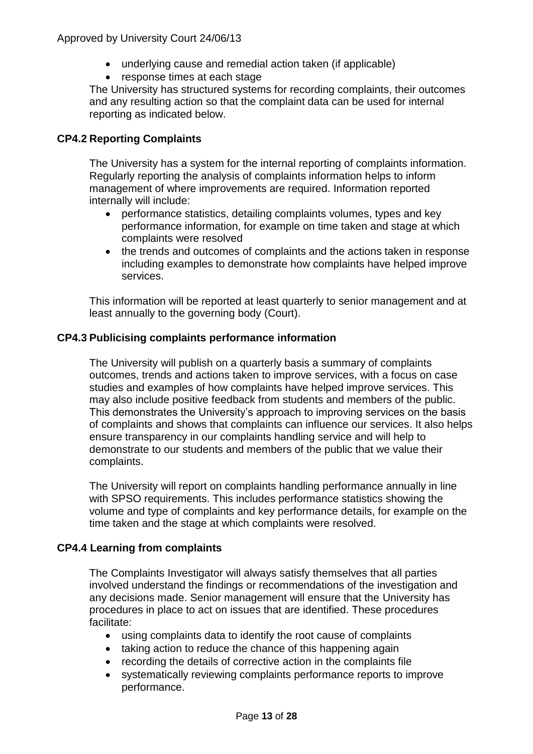- underlying cause and remedial action taken (if applicable)
- response times at each stage

The University has structured systems for recording complaints, their outcomes and any resulting action so that the complaint data can be used for internal reporting as indicated below.

## **CP4.2 Reporting Complaints**

The University has a system for the internal reporting of complaints information. Regularly reporting the analysis of complaints information helps to inform management of where improvements are required. Information reported internally will include:

- performance statistics, detailing complaints volumes, types and key performance information, for example on time taken and stage at which complaints were resolved
- the trends and outcomes of complaints and the actions taken in response including examples to demonstrate how complaints have helped improve services.

This information will be reported at least quarterly to senior management and at least annually to the governing body (Court).

### **CP4.3 Publicising complaints performance information**

The University will publish on a quarterly basis a summary of complaints outcomes, trends and actions taken to improve services, with a focus on case studies and examples of how complaints have helped improve services. This may also include positive feedback from students and members of the public. This demonstrates the University's approach to improving services on the basis of complaints and shows that complaints can influence our services. It also helps ensure transparency in our complaints handling service and will help to demonstrate to our students and members of the public that we value their complaints.

The University will report on complaints handling performance annually in line with SPSO requirements. This includes performance statistics showing the volume and type of complaints and key performance details, for example on the time taken and the stage at which complaints were resolved.

### **CP4.4 Learning from complaints**

The Complaints Investigator will always satisfy themselves that all parties involved understand the findings or recommendations of the investigation and any decisions made. Senior management will ensure that the University has procedures in place to act on issues that are identified. These procedures facilitate:

- using complaints data to identify the root cause of complaints
- taking action to reduce the chance of this happening again
- recording the details of corrective action in the complaints file
- systematically reviewing complaints performance reports to improve performance.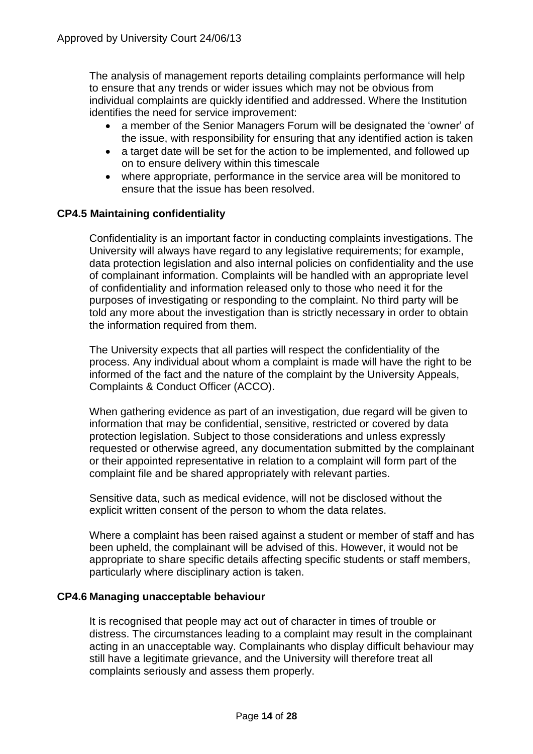The analysis of management reports detailing complaints performance will help to ensure that any trends or wider issues which may not be obvious from individual complaints are quickly identified and addressed. Where the Institution identifies the need for service improvement:

- a member of the Senior Managers Forum will be designated the 'owner' of the issue, with responsibility for ensuring that any identified action is taken
- a target date will be set for the action to be implemented, and followed up on to ensure delivery within this timescale
- where appropriate, performance in the service area will be monitored to ensure that the issue has been resolved.

### **CP4.5 Maintaining confidentiality**

Confidentiality is an important factor in conducting complaints investigations. The University will always have regard to any legislative requirements; for example, data protection legislation and also internal policies on confidentiality and the use of complainant information. Complaints will be handled with an appropriate level of confidentiality and information released only to those who need it for the purposes of investigating or responding to the complaint. No third party will be told any more about the investigation than is strictly necessary in order to obtain the information required from them.

The University expects that all parties will respect the confidentiality of the process. Any individual about whom a complaint is made will have the right to be informed of the fact and the nature of the complaint by the University Appeals, Complaints & Conduct Officer (ACCO).

When gathering evidence as part of an investigation, due regard will be given to information that may be confidential, sensitive, restricted or covered by data protection legislation. Subject to those considerations and unless expressly requested or otherwise agreed, any documentation submitted by the complainant or their appointed representative in relation to a complaint will form part of the complaint file and be shared appropriately with relevant parties.

Sensitive data, such as medical evidence, will not be disclosed without the explicit written consent of the person to whom the data relates.

Where a complaint has been raised against a student or member of staff and has been upheld, the complainant will be advised of this. However, it would not be appropriate to share specific details affecting specific students or staff members, particularly where disciplinary action is taken.

### **CP4.6 Managing unacceptable behaviour**

It is recognised that people may act out of character in times of trouble or distress. The circumstances leading to a complaint may result in the complainant acting in an unacceptable way. Complainants who display difficult behaviour may still have a legitimate grievance, and the University will therefore treat all complaints seriously and assess them properly.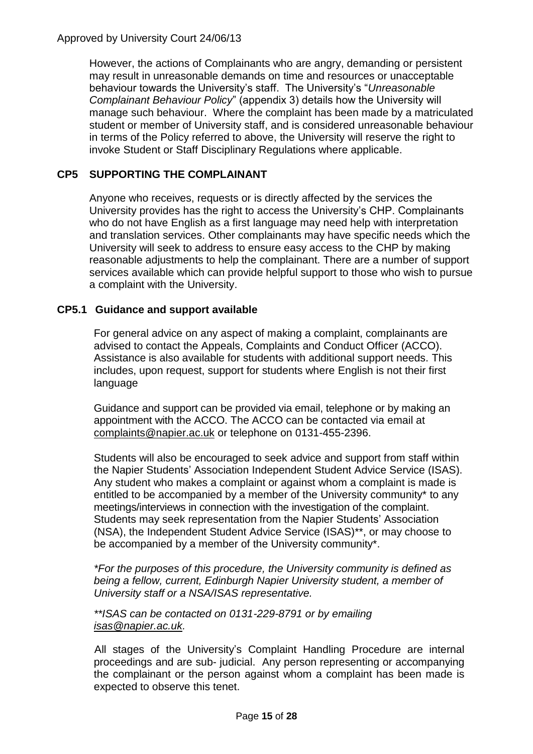Approved by University Court 24/06/13

However, the actions of Complainants who are angry, demanding or persistent may result in unreasonable demands on time and resources or unacceptable behaviour towards the University's staff. The University's "*Unreasonable Complainant Behaviour Policy*" (appendix 3) details how the University will manage such behaviour. Where the complaint has been made by a matriculated student or member of University staff, and is considered unreasonable behaviour in terms of the Policy referred to above, the University will reserve the right to invoke Student or Staff Disciplinary Regulations where applicable.

## **CP5 SUPPORTING THE COMPLAINANT**

Anyone who receives, requests or is directly affected by the services the University provides has the right to access the University's CHP. Complainants who do not have English as a first language may need help with interpretation and translation services. Other complainants may have specific needs which the University will seek to address to ensure easy access to the CHP by making reasonable adjustments to help the complainant. There are a number of support services available which can provide helpful support to those who wish to pursue a complaint with the University.

### **CP5.1 Guidance and support available**

For general advice on any aspect of making a complaint, complainants are advised to contact the Appeals, Complaints and Conduct Officer (ACCO). Assistance is also available for students with additional support needs. This includes, upon request, support for students where English is not their first language

Guidance and support can be provided via email, telephone or by making an appointment with the ACCO. The ACCO can be contacted via email at [complaints@napier.ac.uk](mailto:complaints@napier.ac.uk) or telephone on 0131-455-2396.

Students will also be encouraged to seek advice and support from staff within the Napier Students' Association Independent Student Advice Service (ISAS). Any student who makes a complaint or against whom a complaint is made is entitled to be accompanied by a member of the University community\* to any meetings/interviews in connection with the investigation of the complaint. Students may seek representation from the Napier Students' Association (NSA), the Independent Student Advice Service (ISAS)\*\*, or may choose to be accompanied by a member of the University community\*.

*\*For the purposes of this procedure, the University community is defined as being a fellow, current, Edinburgh Napier University student, a member of University staff or a NSA/ISAS representative.* 

#### *\*\*ISAS can be contacted on 0131-229-8791 or by emailing [isas@napier.ac.uk.](mailto:isas@napier.ac.uk)*

All stages of the University's Complaint Handling Procedure are internal proceedings and are sub- judicial. Any person representing or accompanying the complainant or the person against whom a complaint has been made is expected to observe this tenet.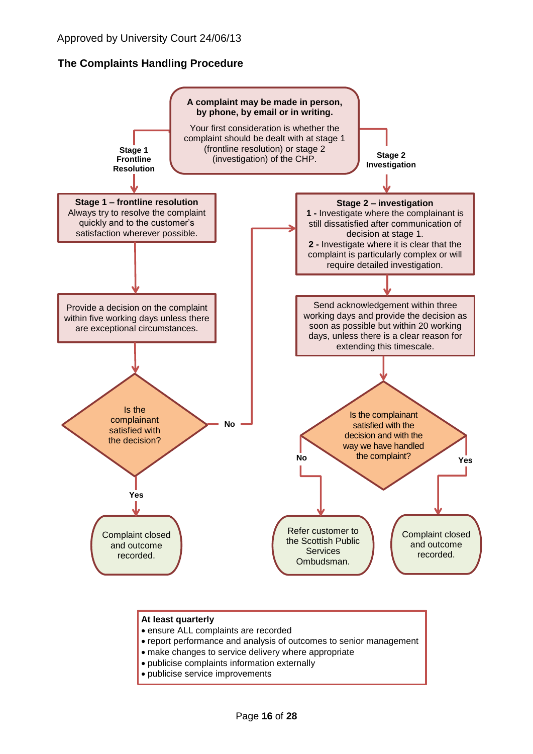## **The Complaints Handling Procedure**



#### **At least quarterly**

- ensure ALL complaints are recorded
- report performance and analysis of outcomes to senior management
- make changes to service delivery where appropriate
- publicise complaints information externally
- publicise service improvements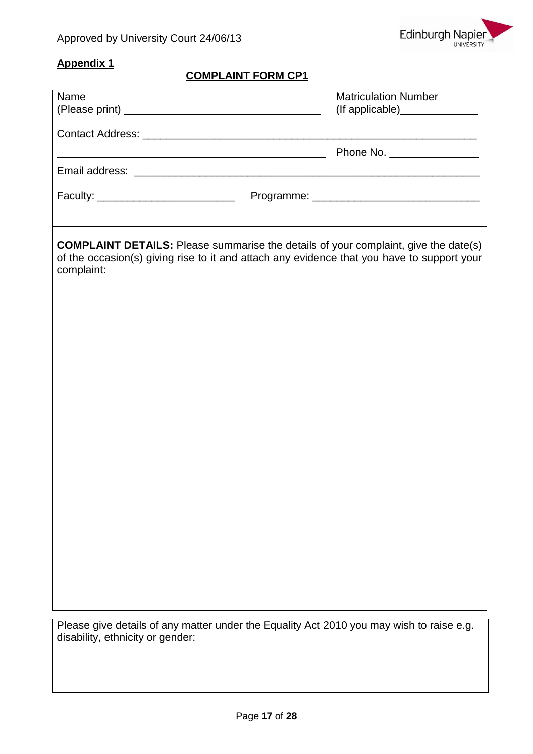

## **Appendix 1**

## **COMPLAINT FORM CP1**

| Name                                                                                                                                                                                                   | <b>Matriculation Number</b>  |  |  |  |  |
|--------------------------------------------------------------------------------------------------------------------------------------------------------------------------------------------------------|------------------------------|--|--|--|--|
|                                                                                                                                                                                                        |                              |  |  |  |  |
|                                                                                                                                                                                                        |                              |  |  |  |  |
|                                                                                                                                                                                                        | Phone No. __________________ |  |  |  |  |
|                                                                                                                                                                                                        |                              |  |  |  |  |
| Faculty: _________________________________                                                                                                                                                             |                              |  |  |  |  |
|                                                                                                                                                                                                        |                              |  |  |  |  |
|                                                                                                                                                                                                        |                              |  |  |  |  |
| <b>COMPLAINT DETAILS:</b> Please summarise the details of your complaint, give the date(s)<br>of the occasion(s) giving rise to it and attach any evidence that you have to support your<br>complaint: |                              |  |  |  |  |
|                                                                                                                                                                                                        |                              |  |  |  |  |
|                                                                                                                                                                                                        |                              |  |  |  |  |
|                                                                                                                                                                                                        |                              |  |  |  |  |
|                                                                                                                                                                                                        |                              |  |  |  |  |
|                                                                                                                                                                                                        |                              |  |  |  |  |
|                                                                                                                                                                                                        |                              |  |  |  |  |
|                                                                                                                                                                                                        |                              |  |  |  |  |
|                                                                                                                                                                                                        |                              |  |  |  |  |
|                                                                                                                                                                                                        |                              |  |  |  |  |
|                                                                                                                                                                                                        |                              |  |  |  |  |
|                                                                                                                                                                                                        |                              |  |  |  |  |
|                                                                                                                                                                                                        |                              |  |  |  |  |
|                                                                                                                                                                                                        |                              |  |  |  |  |
|                                                                                                                                                                                                        |                              |  |  |  |  |
|                                                                                                                                                                                                        |                              |  |  |  |  |
|                                                                                                                                                                                                        |                              |  |  |  |  |
|                                                                                                                                                                                                        |                              |  |  |  |  |
| Please give details of any matter under the Equality Act 2010 you may wish to raise e.g.<br>disability, ethnicity or gender:                                                                           |                              |  |  |  |  |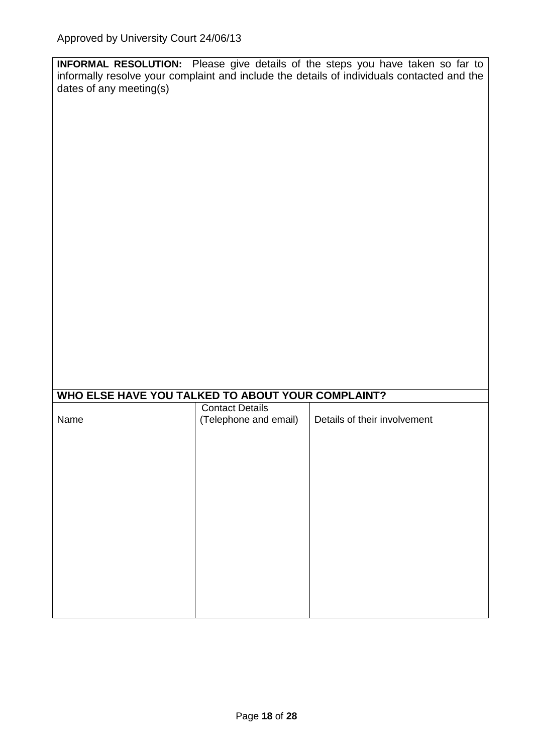| <b>INFORMAL RESOLUTION:</b> Please give details of the steps you have taken so far to      |  |  |  |  |  |  |
|--------------------------------------------------------------------------------------------|--|--|--|--|--|--|
| informally resolve your complaint and include the details of individuals contacted and the |  |  |  |  |  |  |
| dates of any meeting(s)                                                                    |  |  |  |  |  |  |

| WHO ELSE HAVE YOU TALKED TO ABOUT YOUR COMPLAINT? |                        |                              |  |  |  |  |  |
|---------------------------------------------------|------------------------|------------------------------|--|--|--|--|--|
|                                                   | <b>Contact Details</b> |                              |  |  |  |  |  |
| Name                                              | (Telephone and email)  | Details of their involvement |  |  |  |  |  |
|                                                   |                        |                              |  |  |  |  |  |
|                                                   |                        |                              |  |  |  |  |  |
|                                                   |                        |                              |  |  |  |  |  |
|                                                   |                        |                              |  |  |  |  |  |
|                                                   |                        |                              |  |  |  |  |  |
|                                                   |                        |                              |  |  |  |  |  |
|                                                   |                        |                              |  |  |  |  |  |
|                                                   |                        |                              |  |  |  |  |  |
|                                                   |                        |                              |  |  |  |  |  |
|                                                   |                        |                              |  |  |  |  |  |
|                                                   |                        |                              |  |  |  |  |  |
|                                                   |                        |                              |  |  |  |  |  |
|                                                   |                        |                              |  |  |  |  |  |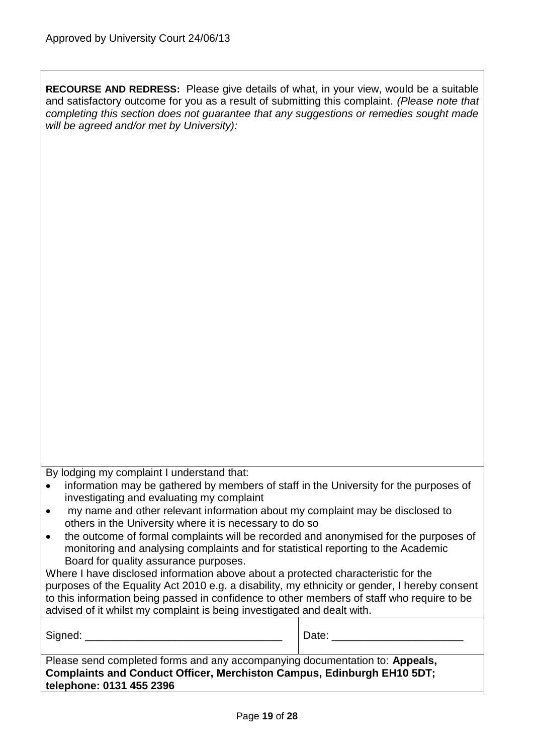**RECOURSE AND REDRESS:** Please give details of what, in your view, would be a suitable and satisfactory outcome for you as a result of submitting this complaint. *(Please note that completing this section does not guarantee that any suggestions or remedies sought made will be agreed and/or met by University):*

By lodging my complaint I understand that:

| information may be gathered by members of staff in the University for the purposes of |
|---------------------------------------------------------------------------------------|
| investigating and evaluating my complaint                                             |

- my name and other relevant information about my complaint may be disclosed to others in the University where it is necessary to do so
- the outcome of formal complaints will be recorded and anonymised for the purposes of monitoring and analysing complaints and for statistical reporting to the Academic Board for quality assurance purposes.

Where I have disclosed information above about a protected characteristic for the purposes of the Equality Act 2010 e.g. a disability, my ethnicity or gender, I hereby consent to this information being passed in confidence to other members of staff who require to be advised of it whilst my complaint is being investigated and dealt with.

| Signed:                                                                                                                                                                           | Date: |  |  |  |  |
|-----------------------------------------------------------------------------------------------------------------------------------------------------------------------------------|-------|--|--|--|--|
| Please send completed forms and any accompanying documentation to: Appeals,<br>Complaints and Conduct Officer, Merchiston Campus, Edinburgh EH10 5DT;<br>telephone: 0131 455 2396 |       |  |  |  |  |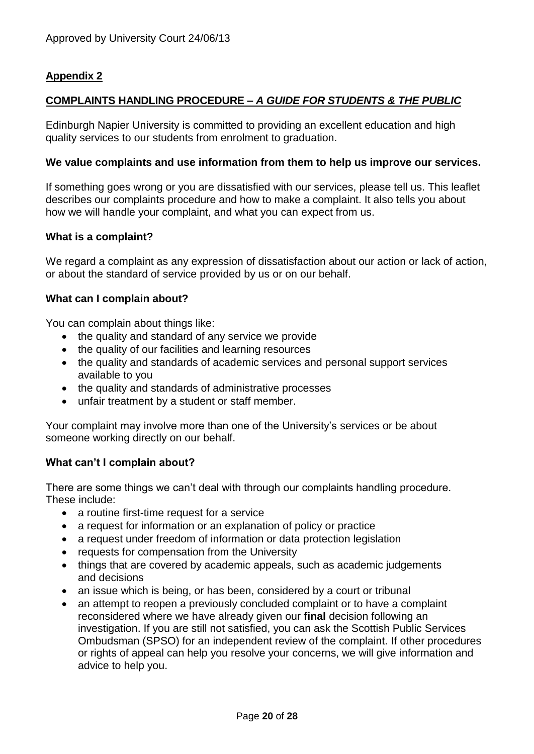## **Appendix 2**

## **COMPLAINTS HANDLING PROCEDURE –** *A GUIDE FOR STUDENTS & THE PUBLIC*

Edinburgh Napier University is committed to providing an excellent education and high quality services to our students from enrolment to graduation.

#### **We value complaints and use information from them to help us improve our services.**

If something goes wrong or you are dissatisfied with our services, please tell us. This leaflet describes our complaints procedure and how to make a complaint. It also tells you about how we will handle your complaint, and what you can expect from us.

#### **What is a complaint?**

We regard a complaint as any expression of dissatisfaction about our action or lack of action, or about the standard of service provided by us or on our behalf.

#### **What can I complain about?**

You can complain about things like:

- the quality and standard of any service we provide
- the quality of our facilities and learning resources
- the quality and standards of academic services and personal support services available to you
- the quality and standards of administrative processes
- unfair treatment by a student or staff member.

Your complaint may involve more than one of the University's services or be about someone working directly on our behalf.

### **What can't I complain about?**

There are some things we can't deal with through our complaints handling procedure. These include:

- a routine first-time request for a service
- a request for information or an explanation of policy or practice
- a request under freedom of information or data protection legislation
- requests for compensation from the University
- things that are covered by academic appeals, such as academic judgements and decisions
- an issue which is being, or has been, considered by a court or tribunal
- an attempt to reopen a previously concluded complaint or to have a complaint reconsidered where we have already given our **final** decision following an investigation. If you are still not satisfied, you can ask the Scottish Public Services Ombudsman (SPSO) for an independent review of the complaint. If other procedures or rights of appeal can help you resolve your concerns, we will give information and advice to help you.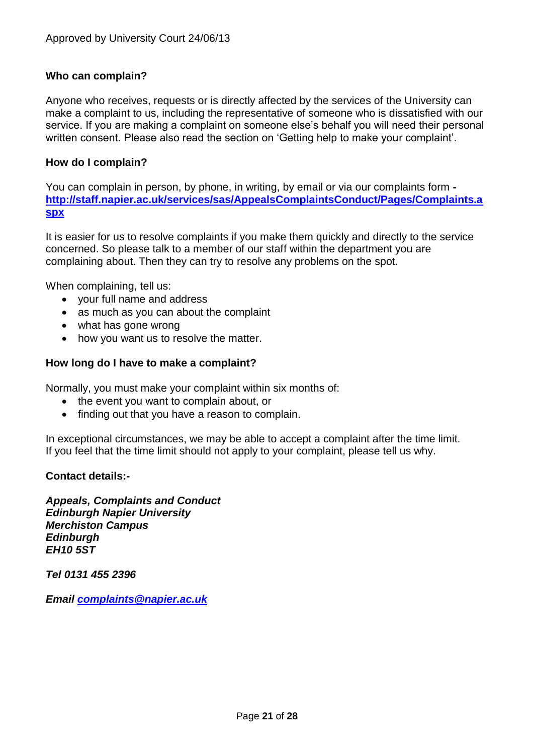### **Who can complain?**

Anyone who receives, requests or is directly affected by the services of the University can make a complaint to us, including the representative of someone who is dissatisfied with our service. If you are making a complaint on someone else's behalf you will need their personal written consent. Please also read the section on 'Getting help to make your complaint'.

### **How do I complain?**

You can complain in person, by phone, in writing, by email or via our complaints form  **[http://staff.napier.ac.uk/services/sas/AppealsComplaintsConduct/Pages/Complaints.a](http://staff.napier.ac.uk/services/sas/AppealsComplaintsConduct/Pages/Complaints.aspx) [spx](http://staff.napier.ac.uk/services/sas/AppealsComplaintsConduct/Pages/Complaints.aspx)**

It is easier for us to resolve complaints if you make them quickly and directly to the service concerned. So please talk to a member of our staff within the department you are complaining about. Then they can try to resolve any problems on the spot.

When complaining, tell us:

- your full name and address
- as much as you can about the complaint
- what has gone wrong
- how you want us to resolve the matter.

#### **How long do I have to make a complaint?**

Normally, you must make your complaint within six months of:

- the event you want to complain about, or
- finding out that you have a reason to complain.

In exceptional circumstances, we may be able to accept a complaint after the time limit. If you feel that the time limit should not apply to your complaint, please tell us why.

#### **Contact details:-**

*Appeals, Complaints and Conduct Edinburgh Napier University Merchiston Campus Edinburgh EH10 5ST*

*Tel 0131 455 2396*

*Email [complaints@napier.ac.uk](mailto:complaints@napier.ac.uk)*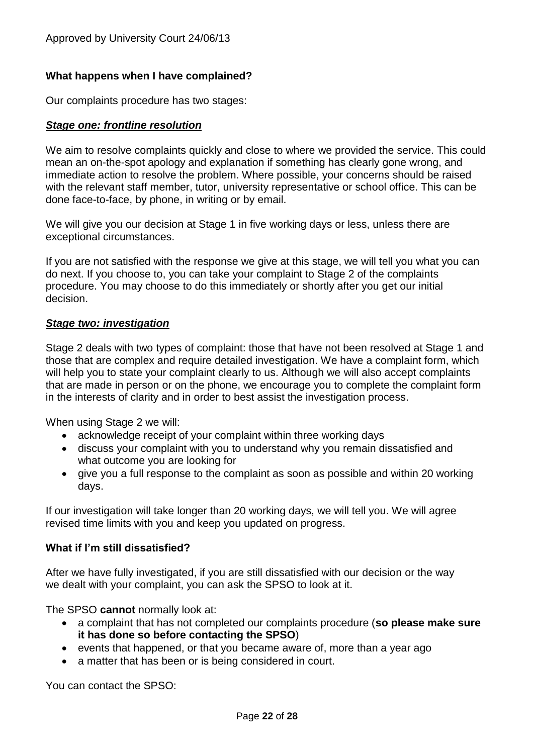### **What happens when I have complained?**

Our complaints procedure has two stages:

### *Stage one: frontline resolution*

We aim to resolve complaints quickly and close to where we provided the service. This could mean an on-the-spot apology and explanation if something has clearly gone wrong, and immediate action to resolve the problem. Where possible, your concerns should be raised with the relevant staff member, tutor, university representative or school office. This can be done face-to-face, by phone, in writing or by email.

We will give you our decision at Stage 1 in five working days or less, unless there are exceptional circumstances.

If you are not satisfied with the response we give at this stage, we will tell you what you can do next. If you choose to, you can take your complaint to Stage 2 of the complaints procedure. You may choose to do this immediately or shortly after you get our initial decision.

#### *Stage two: investigation*

Stage 2 deals with two types of complaint: those that have not been resolved at Stage 1 and those that are complex and require detailed investigation. We have a complaint form, which will help you to state your complaint clearly to us. Although we will also accept complaints that are made in person or on the phone, we encourage you to complete the complaint form in the interests of clarity and in order to best assist the investigation process.

When using Stage 2 we will:

- acknowledge receipt of your complaint within three working days
- discuss your complaint with you to understand why you remain dissatisfied and what outcome you are looking for
- give you a full response to the complaint as soon as possible and within 20 working days.

If our investigation will take longer than 20 working days, we will tell you. We will agree revised time limits with you and keep you updated on progress.

### **What if I'm still dissatisfied?**

After we have fully investigated, if you are still dissatisfied with our decision or the way we dealt with your complaint, you can ask the SPSO to look at it.

The SPSO **cannot** normally look at:

- a complaint that has not completed our complaints procedure (**so please make sure it has done so before contacting the SPSO**)
- events that happened, or that you became aware of, more than a year ago
- a matter that has been or is being considered in court.

You can contact the SPSO: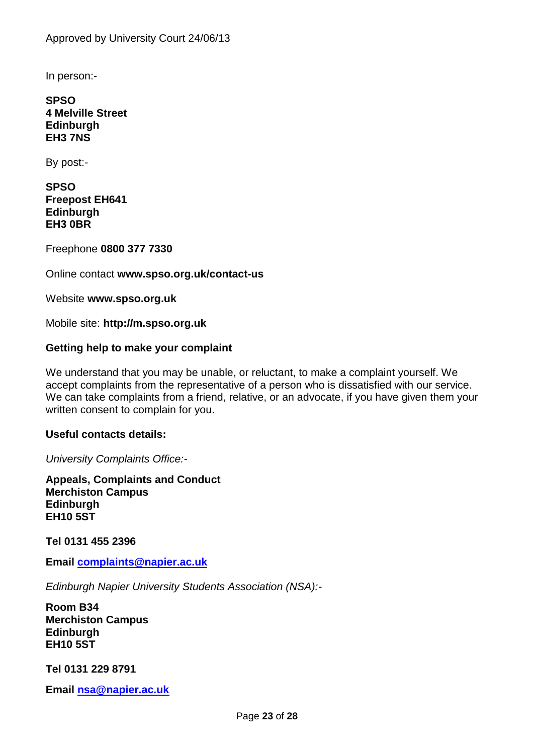In person:-

**SPSO 4 Melville Street Edinburgh EH3 7NS**

By post:-

**SPSO Freepost EH641 Edinburgh EH3 0BR**

Freephone **0800 377 7330**

Online contact **www.spso.org.uk/contact-us**

Website **www.spso.org.uk**

Mobile site: **http://m.spso.org.uk**

### **Getting help to make your complaint**

We understand that you may be unable, or reluctant, to make a complaint yourself. We accept complaints from the representative of a person who is dissatisfied with our service. We can take complaints from a friend, relative, or an advocate, if you have given them your written consent to complain for you.

#### **Useful contacts details:**

*University Complaints Office:-*

**Appeals, Complaints and Conduct Merchiston Campus Edinburgh EH10 5ST**

**Tel 0131 455 2396**

**Email [complaints@napier.ac.uk](mailto:complaints@napier.ac.uk)**

*Edinburgh Napier University Students Association (NSA):-*

**Room B34 Merchiston Campus Edinburgh EH10 5ST**

**Tel 0131 229 8791**

**Email [nsa@napier.ac.uk](mailto:nsa@napier.ac.uk)**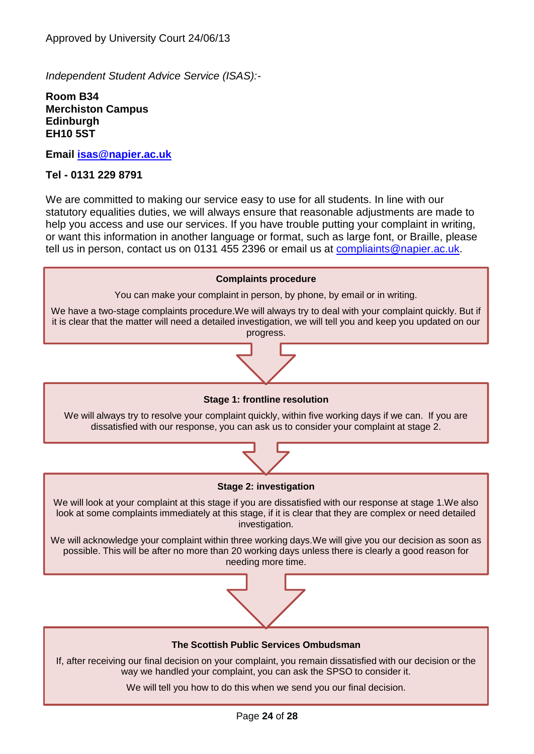*Independent Student Advice Service (ISAS):-*

**Room B34 Merchiston Campus Edinburgh EH10 5ST**

**Email [isas@napier.ac.uk](mailto:isas@napier.ac.uk)**

#### **Tel - 0131 229 8791**

We are committed to making our service easy to use for all students. In line with our statutory equalities duties, we will always ensure that reasonable adjustments are made to help you access and use our services. If you have trouble putting your complaint in writing, or want this information in another language or format, such as large font, or Braille, please tell us in person, contact us on 0131 455 2396 or email us at [compliaints@napier.ac.uk.](mailto:compliaints@napier.ac.uk)

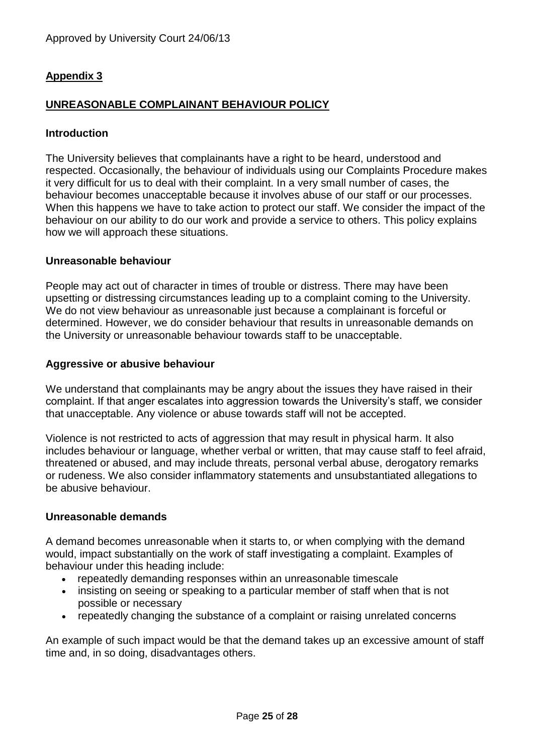## **Appendix 3**

## **UNREASONABLE COMPLAINANT BEHAVIOUR POLICY**

### **Introduction**

The University believes that complainants have a right to be heard, understood and respected. Occasionally, the behaviour of individuals using our Complaints Procedure makes it very difficult for us to deal with their complaint. In a very small number of cases, the behaviour becomes unacceptable because it involves abuse of our staff or our processes. When this happens we have to take action to protect our staff. We consider the impact of the behaviour on our ability to do our work and provide a service to others. This policy explains how we will approach these situations.

#### **Unreasonable behaviour**

People may act out of character in times of trouble or distress. There may have been upsetting or distressing circumstances leading up to a complaint coming to the University. We do not view behaviour as unreasonable just because a complainant is forceful or determined. However, we do consider behaviour that results in unreasonable demands on the University or unreasonable behaviour towards staff to be unacceptable.

#### **Aggressive or abusive behaviour**

We understand that complainants may be angry about the issues they have raised in their complaint. If that anger escalates into aggression towards the University's staff, we consider that unacceptable. Any violence or abuse towards staff will not be accepted.

Violence is not restricted to acts of aggression that may result in physical harm. It also includes behaviour or language, whether verbal or written, that may cause staff to feel afraid, threatened or abused, and may include threats, personal verbal abuse, derogatory remarks or rudeness. We also consider inflammatory statements and unsubstantiated allegations to be abusive behaviour.

#### **Unreasonable demands**

A demand becomes unreasonable when it starts to, or when complying with the demand would, impact substantially on the work of staff investigating a complaint. Examples of behaviour under this heading include:

- repeatedly demanding responses within an unreasonable timescale
- insisting on seeing or speaking to a particular member of staff when that is not possible or necessary
- repeatedly changing the substance of a complaint or raising unrelated concerns

An example of such impact would be that the demand takes up an excessive amount of staff time and, in so doing, disadvantages others.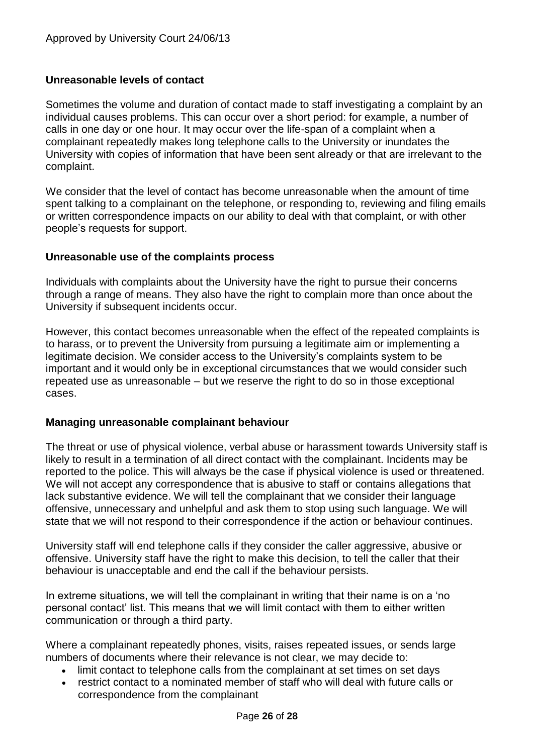### **Unreasonable levels of contact**

Sometimes the volume and duration of contact made to staff investigating a complaint by an individual causes problems. This can occur over a short period: for example, a number of calls in one day or one hour. It may occur over the life-span of a complaint when a complainant repeatedly makes long telephone calls to the University or inundates the University with copies of information that have been sent already or that are irrelevant to the complaint.

We consider that the level of contact has become unreasonable when the amount of time spent talking to a complainant on the telephone, or responding to, reviewing and filing emails or written correspondence impacts on our ability to deal with that complaint, or with other people's requests for support.

#### **Unreasonable use of the complaints process**

Individuals with complaints about the University have the right to pursue their concerns through a range of means. They also have the right to complain more than once about the University if subsequent incidents occur.

However, this contact becomes unreasonable when the effect of the repeated complaints is to harass, or to prevent the University from pursuing a legitimate aim or implementing a legitimate decision. We consider access to the University's complaints system to be important and it would only be in exceptional circumstances that we would consider such repeated use as unreasonable – but we reserve the right to do so in those exceptional cases.

### **Managing unreasonable complainant behaviour**

The threat or use of physical violence, verbal abuse or harassment towards University staff is likely to result in a termination of all direct contact with the complainant. Incidents may be reported to the police. This will always be the case if physical violence is used or threatened. We will not accept any correspondence that is abusive to staff or contains allegations that lack substantive evidence. We will tell the complainant that we consider their language offensive, unnecessary and unhelpful and ask them to stop using such language. We will state that we will not respond to their correspondence if the action or behaviour continues.

University staff will end telephone calls if they consider the caller aggressive, abusive or offensive. University staff have the right to make this decision, to tell the caller that their behaviour is unacceptable and end the call if the behaviour persists.

In extreme situations, we will tell the complainant in writing that their name is on a 'no personal contact' list. This means that we will limit contact with them to either written communication or through a third party.

Where a complainant repeatedly phones, visits, raises repeated issues, or sends large numbers of documents where their relevance is not clear, we may decide to:

- limit contact to telephone calls from the complainant at set times on set days
- restrict contact to a nominated member of staff who will deal with future calls or correspondence from the complainant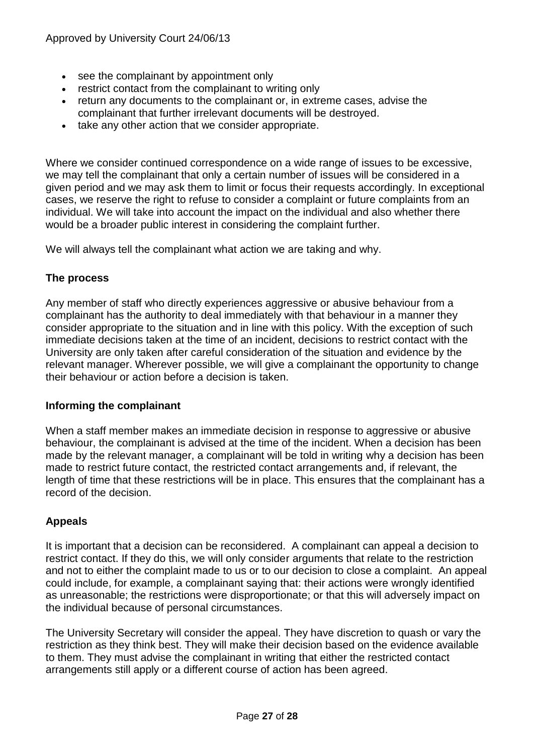- see the complainant by appointment only
- restrict contact from the complainant to writing only
- return any documents to the complainant or, in extreme cases, advise the complainant that further irrelevant documents will be destroyed.
- take any other action that we consider appropriate.

Where we consider continued correspondence on a wide range of issues to be excessive, we may tell the complainant that only a certain number of issues will be considered in a given period and we may ask them to limit or focus their requests accordingly. In exceptional cases, we reserve the right to refuse to consider a complaint or future complaints from an individual. We will take into account the impact on the individual and also whether there would be a broader public interest in considering the complaint further.

We will always tell the complainant what action we are taking and why.

## **The process**

Any member of staff who directly experiences aggressive or abusive behaviour from a complainant has the authority to deal immediately with that behaviour in a manner they consider appropriate to the situation and in line with this policy. With the exception of such immediate decisions taken at the time of an incident, decisions to restrict contact with the University are only taken after careful consideration of the situation and evidence by the relevant manager. Wherever possible, we will give a complainant the opportunity to change their behaviour or action before a decision is taken.

### **Informing the complainant**

When a staff member makes an immediate decision in response to aggressive or abusive behaviour, the complainant is advised at the time of the incident. When a decision has been made by the relevant manager, a complainant will be told in writing why a decision has been made to restrict future contact, the restricted contact arrangements and, if relevant, the length of time that these restrictions will be in place. This ensures that the complainant has a record of the decision.

## **Appeals**

It is important that a decision can be reconsidered. A complainant can appeal a decision to restrict contact. If they do this, we will only consider arguments that relate to the restriction and not to either the complaint made to us or to our decision to close a complaint. An appeal could include, for example, a complainant saying that: their actions were wrongly identified as unreasonable; the restrictions were disproportionate; or that this will adversely impact on the individual because of personal circumstances.

The University Secretary will consider the appeal. They have discretion to quash or vary the restriction as they think best. They will make their decision based on the evidence available to them. They must advise the complainant in writing that either the restricted contact arrangements still apply or a different course of action has been agreed.